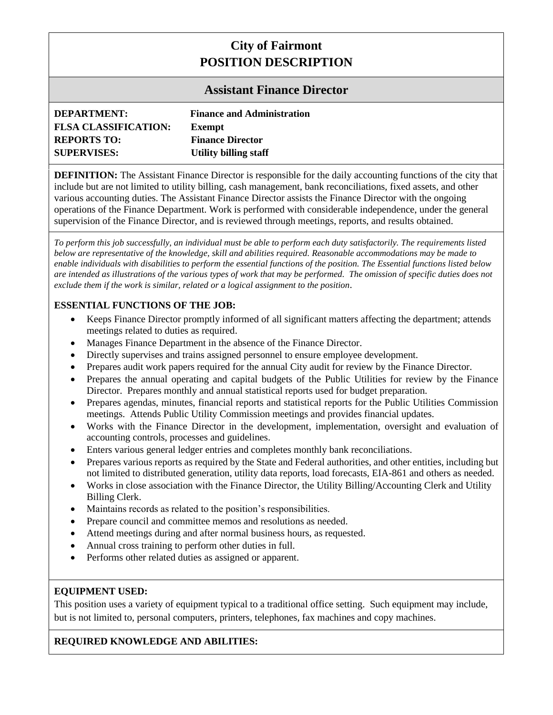# **City of Fairmont POSITION DESCRIPTION**

# **Assistant Finance Director**

| <b>DEPARTMENT:</b>          | <b>Finance and Administration</b> |
|-----------------------------|-----------------------------------|
| <b>FLSA CLASSIFICATION:</b> | Exempt                            |
| <b>REPORTS TO:</b>          | <b>Finance Director</b>           |
| <b>SUPERVISES:</b>          | <b>Utility billing staff</b>      |

**DEFINITION:** The Assistant Finance Director is responsible for the daily accounting functions of the city that include but are not limited to utility billing, cash management, bank reconciliations, fixed assets, and other various accounting duties. The Assistant Finance Director assists the Finance Director with the ongoing operations of the Finance Department. Work is performed with considerable independence, under the general supervision of the Finance Director, and is reviewed through meetings, reports, and results obtained.

*To perform this job successfully, an individual must be able to perform each duty satisfactorily. The requirements listed below are representative of the knowledge, skill and abilities required. Reasonable accommodations may be made to enable individuals with disabilities to perform the essential functions of the position. The Essential functions listed below are intended as illustrations of the various types of work that may be performed. The omission of specific duties does not exclude them if the work is similar, related or a logical assignment to the position.*

# **ESSENTIAL FUNCTIONS OF THE JOB:**

- Keeps Finance Director promptly informed of all significant matters affecting the department; attends meetings related to duties as required.
- Manages Finance Department in the absence of the Finance Director.
- Directly supervises and trains assigned personnel to ensure employee development.
- Prepares audit work papers required for the annual City audit for review by the Finance Director.
- Prepares the annual operating and capital budgets of the Public Utilities for review by the Finance Director. Prepares monthly and annual statistical reports used for budget preparation.
- Prepares agendas, minutes, financial reports and statistical reports for the Public Utilities Commission meetings. Attends Public Utility Commission meetings and provides financial updates.
- Works with the Finance Director in the development, implementation, oversight and evaluation of accounting controls, processes and guidelines.
- Enters various general ledger entries and completes monthly bank reconciliations.
- Prepares various reports as required by the State and Federal authorities, and other entities, including but not limited to distributed generation, utility data reports, load forecasts, EIA-861 and others as needed.
- Works in close association with the Finance Director, the Utility Billing/Accounting Clerk and Utility Billing Clerk.
- Maintains records as related to the position's responsibilities.
- Prepare council and committee memos and resolutions as needed.
- Attend meetings during and after normal business hours, as requested.
- Annual cross training to perform other duties in full.
- Performs other related duties as assigned or apparent.

# **EQUIPMENT USED:**

This position uses a variety of equipment typical to a traditional office setting. Such equipment may include, but is not limited to, personal computers, printers, telephones, fax machines and copy machines.

# **REQUIRED KNOWLEDGE AND ABILITIES:**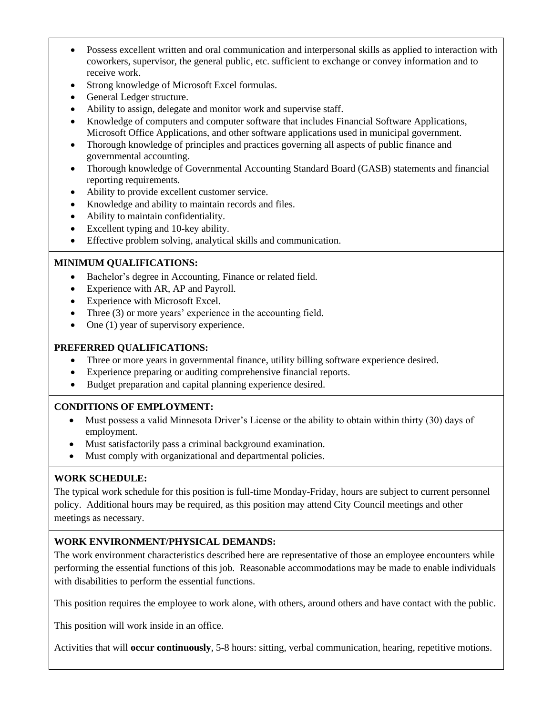- Possess excellent written and oral communication and interpersonal skills as applied to interaction with coworkers, supervisor, the general public, etc. sufficient to exchange or convey information and to receive work.
- Strong knowledge of Microsoft Excel formulas.
- General Ledger structure.
- Ability to assign, delegate and monitor work and supervise staff.
- Knowledge of computers and computer software that includes Financial Software Applications, Microsoft Office Applications, and other software applications used in municipal government.
- Thorough knowledge of principles and practices governing all aspects of public finance and governmental accounting.
- Thorough knowledge of Governmental Accounting Standard Board (GASB) statements and financial reporting requirements.
- Ability to provide excellent customer service.
- Knowledge and ability to maintain records and files.
- Ability to maintain confidentiality.
- Excellent typing and 10-key ability.
- Effective problem solving, analytical skills and communication.

# **MINIMUM QUALIFICATIONS:**

- Bachelor's degree in Accounting, Finance or related field.
- Experience with AR, AP and Payroll.
- Experience with Microsoft Excel.
- Three (3) or more years' experience in the accounting field.
- One (1) year of supervisory experience.

#### **PREFERRED QUALIFICATIONS:**

- Three or more years in governmental finance, utility billing software experience desired.
- Experience preparing or auditing comprehensive financial reports.
- Budget preparation and capital planning experience desired.

# **CONDITIONS OF EMPLOYMENT:**

- Must possess a valid Minnesota Driver's License or the ability to obtain within thirty (30) days of employment.
- Must satisfactorily pass a criminal background examination.
- Must comply with organizational and departmental policies.

# **WORK SCHEDULE:**

The typical work schedule for this position is full-time Monday-Friday, hours are subject to current personnel policy. Additional hours may be required, as this position may attend City Council meetings and other meetings as necessary.

# **WORK ENVIRONMENT/PHYSICAL DEMANDS:**

The work environment characteristics described here are representative of those an employee encounters while performing the essential functions of this job. Reasonable accommodations may be made to enable individuals with disabilities to perform the essential functions.

This position requires the employee to work alone, with others, around others and have contact with the public.

This position will work inside in an office.

Activities that will **occur continuously**, 5-8 hours: sitting, verbal communication, hearing, repetitive motions.